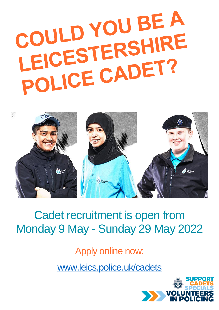# COULD YOU BE A COULD TERSHIRE LEICES LENDET?



# Cadet recruitment is open from Monday 9 May - Sunday 29 May 2022

Apply online now:

[www.leics.police.uk/cadets](http://www.leics.police.uk/cadets)

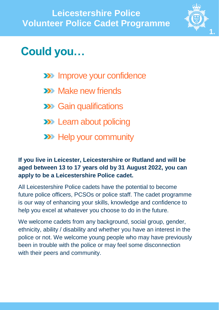

# **Could you…**

- **EXEM** Improve your confidence
- **XX** Make new friends
- **EX** Gain qualifications
- **EXP** Learn about policing
- **XXX** Help your community

#### **If you live in Leicester, Leicestershire or Rutland and will be aged between 13 to 17 years old by 31 August 2022, you can apply to be a Leicestershire Police cadet.**

All Leicestershire Police cadets have the potential to become future police officers, PCSOs or police staff. The cadet programme is our way of enhancing your skills, knowledge and confidence to help you excel at whatever you choose to do in the future.

We welcome cadets from any background, social group, gender, ethnicity, ability / disability and whether you have an interest in the police or not. We welcome young people who may have previously been in trouble with the police or may feel some disconnection with their peers and community.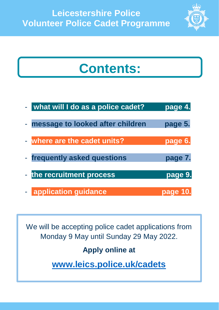

# **Contents:**

| - what will I do as a police cadet? | page 4.  |
|-------------------------------------|----------|
| - message to looked after children  | page 5.  |
| - where are the cadet units?        | page 6.  |
| - frequently asked questions        | page 7.  |
| - the recruitment process           | page 9.  |
| <b>E application guidance</b>       | page 10. |

We will be accepting police cadet applications from Monday 9 May until Sunday 29 May 2022.

## **Apply online at**

**[www.leics.police.uk/cadets](http://www.leics.police.uk/cadets)**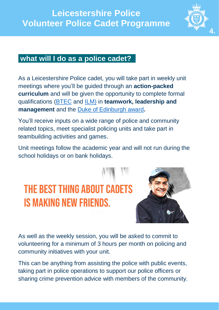

#### **what will I do as a police cadet? .**

As a Leicestershire Police cadet, you will take part in weekly unit meetings where you'll be guided through an **action-packed curriculum** and will be given the opportunity to complete formal qualifications [\(BTEC](https://cvqo.org/) and [ILM\)](https://cvqo.org/our_qualifications/ilm/) in **teamwork, leadership and management** and the [Duke of Edinburgh award](https://www.dofe.org/)**.**

You'll receive inputs on a wide range of police and community related topics, meet specialist policing units and take part in teambuilding activities and games.

Unit meetings follow the academic year and will not run during the school holidays or on bank holidays.

# **THE BEST THING ABOUT CADETS IS MAKING NEW FRIENDS.**



As well as the weekly session, you will be asked to commit to volunteering for a minimum of 3 hours per month on policing and community initiatives with your unit.

This can be anything from assisting the police with public events, taking part in police operations to support our police officers or sharing crime prevention advice with members of the community.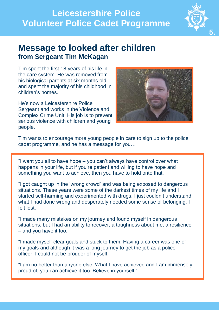

### **Message to looked after children from Sergeant Tim McKagan**

Tim spent the first 18 years of his life in the care system. He was removed from his biological parents at six months old and spent the majority of his childhood in children's homes.

He's now a Leicestershire Police Sergeant and works in the Violence and Complex Crime Unit. His job is to prevent serious violence with children and young people.



Tim wants to encourage more young people in care to sign up to the police cadet programme, and he has a message for you…

"I want you all to have hope – you can't always have control over what happens in your life, but if you're patient and willing to have hope and something you want to achieve, then you have to hold onto that.

"I got caught up in the 'wrong crowd' and was being exposed to dangerous situations. These years were some of the darkest times of my life and I started self-harming and experimented with drugs. I just couldn't understand what I had done wrong and desperately needed some sense of belonging. I felt lost.

"I made many mistakes on my journey and found myself in dangerous situations, but I had an ability to recover, a toughness about me, a resilience – and you have it too.

"I made myself clear goals and stuck to them. Having a career was one of my goals and although it was a long journey to get the job as a police officer, I could not be prouder of myself.

"I am no better than anyone else. What I have achieved and I am immensely proud of, you can achieve it too. Believe in yourself."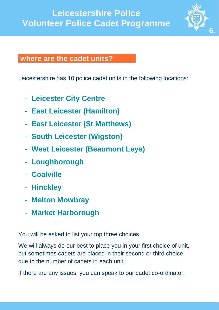

#### **where are the cadet units? .**

Leicestershire has 10 police cadet units in the following locations:

- **Leicester City Centre**
- **East Leicester (Hamilton)**
- **East Leicester (St Matthews)**
- **South Leicester (Wigston)**
- **West Leicester (Beaumont Leys)**
- **Loughborough**
- **Coalville**
- **Hinckley**
- **Melton Mowbray**
- **Market Harborough**

You will be asked to list your top three choices.

We will always do our best to place you in your first choice of unit, but sometimes cadets are placed in their second or third choice due to the number of cadets in each unit.

If there are any issues, you can speak to our cadet co-ordinator.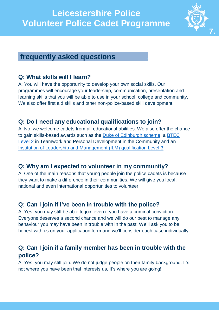

#### **frequently asked questions .**

#### **Q: What skills will I learn?**

A: You will have the opportunity to develop your own social skills. Our programmes will encourage your leadership, communication, presentation and learning skills that you will be able to use in your school, college and community. We also offer first aid skills and other non-police-based skill development.

#### **Q: Do I need any educational qualifications to join?**

A: No, we welcome cadets from all educational abilities. We also offer the chance to gain skills-based awards such as the [Duke of Edinburgh scheme,](https://www.dofe.org/) a [BTEC](https://cvqo.org/qualification/btec-level-2-in-teamwork-and-personal-development-in-the-community/)  [Level 2](https://cvqo.org/qualification/btec-level-2-in-teamwork-and-personal-development-in-the-community/) in Teamwork and Personal Development in the Community and an [Institution of Leadership and Management \(ILM\) qualification Level 3.](https://cvqo.org/our_qualifications/ilm/)

#### **Q: Why am I expected to volunteer in my community?**

A: One of the main reasons that young people join the police cadets is because they want to make a difference in their communities. We will give you local, national and even international opportunities to volunteer.

#### **Q: Can I join if I've been in trouble with the police?**

A: Yes, you may still be able to join even if you have a criminal conviction. Everyone deserves a second chance and we will do our best to manage any behaviour you may have been in trouble with in the past. We'll ask you to be honest with us on your application form and we'll consider each case individually.

#### **Q: Can I join if a family member has been in trouble with the police?**

A: Yes, you may still join. We do not judge people on their family background. It's not where you have been that interests us, it's where you are going!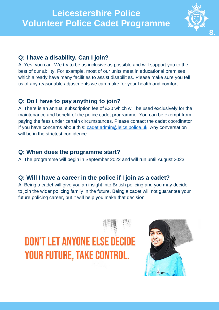

#### **Q: I have a disability. Can I join?**

A: Yes, you can. We try to be as inclusive as possible and will support you to the best of our ability. For example, most of our units meet in educational premises which already have many facilities to assist disabilities. Please make sure you tell us of any reasonable adjustments we can make for your health and comfort.

#### **Q: Do I have to pay anything to join?**

A: There is an annual subscription fee of £30 which will be used exclusively for the maintenance and benefit of the police cadet programme. You can be exempt from paying the fees under certain circumstances. Please contact the cadet coordinator if you have concerns about this: [cadet.admin@leics.police.uk.](mailto:cadet.admin@leics.police.uk) Any conversation will be in the strictest confidence.

#### **Q: When does the programme start?**

A: The programme will begin in September 2022 and will run until August 2023.

#### **Q: Will I have a career in the police if I join as a cadet?**

A: Being a cadet will give you an insight into British policing and you may decide to join the wider policing family in the future. Being a cadet will not guarantee your future policing career, but it will help you make that decision.

# **DON'T LET ANYONE ELSE DECIDE YOUR FUTURE, TAKE CONTROL.**

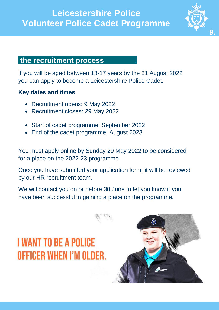

#### **the recruitment process .**

If you will be aged between 13-17 years by the 31 August 2022 you can apply to become a Leicestershire Police Cadet.

#### **Key dates and times**

- Recruitment opens: 9 May 2022
- Recruitment closes: 29 May 2022
- Start of cadet programme: September 2022
- End of the cadet programme: August 2023

You must apply online by Sunday 29 May 2022 to be considered for a place on the 2022-23 programme.

Once you have submitted your application form, it will be reviewed by our HR recruitment team.

We will contact you on or before 30 June to let you know if you have been successful in gaining a place on the programme.

# **I WANT TO BE A POLICE** OFFICER WHEN I'M OLDER.